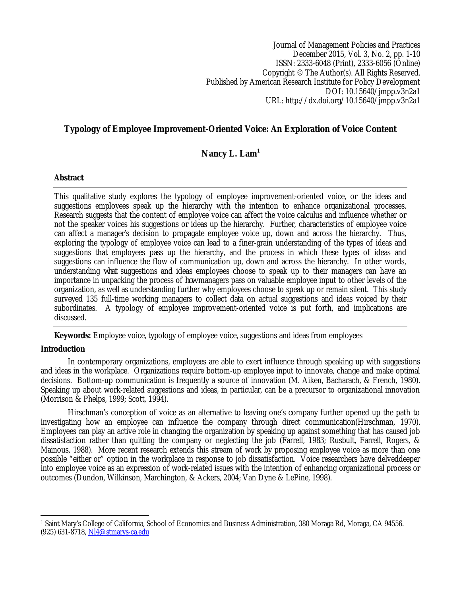Journal of Management Policies and Practices December 2015, Vol. 3, No. 2, pp. 1-10 ISSN: 2333-6048 (Print), 2333-6056 (Online) Copyright © The Author(s). All Rights Reserved. Published by American Research Institute for Policy Development DOI: 10.15640/jmpp.v3n2a1 URL: http://dx.doi.org/10.15640/jmpp.v3n2a1

# **Typology of Employee Improvement-Oriented Voice: An Exploration of Voice Content**

# **Nancy L. Lam<sup>1</sup>**

## **Abstract**

This qualitative study explores the typology of employee improvement-oriented voice, or the ideas and suggestions employees speak up the hierarchy with the intention to enhance organizational processes. Research suggests that the content of employee voice can affect the voice calculus and influence whether or not the speaker voices his suggestions or ideas up the hierarchy. Further, characteristics of employee voice can affect a manager's decision to propagate employee voice up, down and across the hierarchy. Thus, exploring the typology of employee voice can lead to a finer-grain understanding of the types of ideas and suggestions that employees pass up the hierarchy, and the process in which these types of ideas and suggestions can influence the flow of communication up, down and across the hierarchy. In other words, understanding *what* suggestions and ideas employees choose to speak up to their managers can have an importance in unpacking the process of *how* managers pass on valuable employee input to other levels of the organization, as well as understanding further why employees choose to speak up or remain silent. This study surveyed 135 full-time working managers to collect data on actual suggestions and ideas voiced by their subordinates. A typology of employee improvement-oriented voice is put forth, and implications are discussed.

**Keywords:** Employee voice, typology of employee voice, suggestions and ideas from employees

# **Introduction**

In contemporary organizations, employees are able to exert influence through speaking up with suggestions and ideas in the workplace. Organizations require bottom-up employee input to innovate, change and make optimal decisions. Bottom-up communication is frequently a source of innovation (M. Aiken, Bacharach, & French, 1980). Speaking up about work-related suggestions and ideas, in particular, can be a precursor to organizational innovation (Morrison & Phelps, 1999; Scott, 1994).

Hirschman's conception of voice as an alternative to leaving one's company further opened up the path to investigating how an employee can influence the company through direct communication(Hirschman, 1970). Employees can play an active role in changing the organization by speaking up against something that has caused job dissatisfaction rather than quitting the company or neglecting the job (Farrell, 1983; Rusbult, Farrell, Rogers, & Mainous, 1988). More recent research extends this stream of work by proposing employee voice as more than one possible "either or" option in the workplace in response to job dissatisfaction. Voice researchers have delveddeeper into employee voice as an expression of work-related issues with the intention of enhancing organizational process or outcomes (Dundon, Wilkinson, Marchington, & Ackers, 2004; Van Dyne & LePine, 1998).

 $\overline{\phantom{a}}$ <sup>1</sup> Saint Mary's College of California, School of Economics and Business Administration, 380 Moraga Rd, Moraga, CA 94556. (925) 631-8718, Nl4@stmarys-ca.edu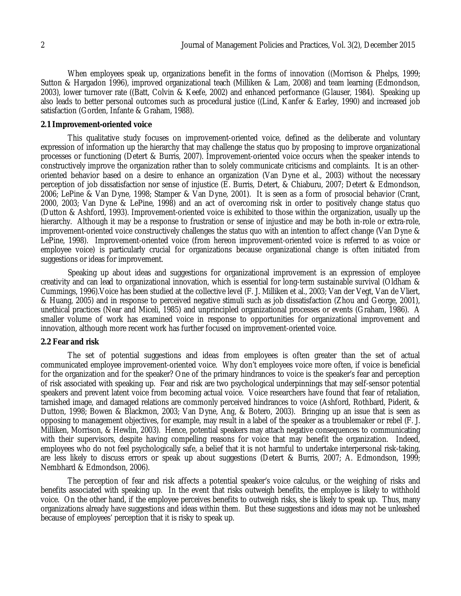When employees speak up, organizations benefit in the forms of innovation ((Morrison & Phelps, 1999; Sutton & Hargadon 1996), improved organizational teach (Milliken & Lam, 2008) and team learning (Edmondson, 2003), lower turnover rate ((Batt, Colvin & Keefe, 2002) and enhanced performance (Glauser, 1984). Speaking up also leads to better personal outcomes such as procedural justice ((Lind, Kanfer & Earley, 1990) and increased job satisfaction (Gorden, Infante & Graham, 1988).

### **2.1 Improvement-oriented voice**

This qualitative study focuses on improvement-oriented voice, defined as the deliberate and voluntary expression of information up the hierarchy that may challenge the status quo by proposing to improve organizational processes or functioning (Detert & Burris, 2007). Improvement-oriented voice occurs when the speaker intends to constructively improve the organization rather than to solely communicate criticisms and complaints. It is an otheroriented behavior based on a desire to enhance an organization (Van Dyne et al., 2003) without the necessary perception of job dissatisfaction nor sense of injustice (E. Burris, Detert, & Chiaburu, 2007; Detert & Edmondson, 2006; LePine & Van Dyne, 1998; Stamper & Van Dyne, 2001). It is seen as a form of prosocial behavior (Crant, 2000, 2003; Van Dyne & LePine, 1998) and an act of overcoming risk in order to positively change status quo (Dutton & Ashford, 1993). Improvement-oriented voice is exhibited to those within the organization, usually up the hierarchy. Although it may be a response to frustration or sense of injustice and may be both in-role or extra-role, improvement-oriented voice constructively challenges the status quo with an intention to affect change (Van Dyne & LePine, 1998). Improvement-oriented voice (from hereon improvement-oriented voice is referred to as voice or employee voice) is particularly crucial for organizations because organizational change is often initiated from suggestions or ideas for improvement.

Speaking up about ideas and suggestions for organizational improvement is an expression of employee creativity and can lead to organizational innovation, which is essential for long-term sustainable survival (Oldham & Cummings, 1996).Voice has been studied at the collective level (F. J. Milliken et al., 2003; Van der Vegt, Van de Vliert, & Huang, 2005) and in response to perceived negative stimuli such as job dissatisfaction (Zhou and George, 2001), unethical practices (Near and Miceli, 1985) and unprincipled organizational processes or events (Graham, 1986). A smaller volume of work has examined voice in response to opportunities for organizational improvement and innovation, although more recent work has further focused on improvement-oriented voice.

## **2.2 Fear and risk**

The set of potential suggestions and ideas from employees is often greater than the set of actual communicated employee improvement-oriented voice. Why don't employees voice more often, if voice is beneficial for the organization and for the speaker? One of the primary hindrances to voice is the speaker's fear and perception of risk associated with speaking up. Fear and risk are two psychological underpinnings that may self-sensor potential speakers and prevent latent voice from becoming actual voice. Voice researchers have found that fear of retaliation, tarnished image, and damaged relations are commonly perceived hindrances to voice (Ashford, Rothbard, Piderit, & Dutton, 1998; Bowen & Blackmon, 2003; Van Dyne, Ang, & Botero, 2003). Bringing up an issue that is seen as opposing to management objectives, for example, may result in a label of the speaker as a troublemaker or rebel (F. J. Milliken, Morrison, & Hewlin, 2003). Hence, potential speakers may attach negative consequences to communicating with their supervisors, despite having compelling reasons for voice that may benefit the organization. Indeed, employees who do not feel psychologically safe, a belief that it is not harmful to undertake interpersonal risk-taking, are less likely to discuss errors or speak up about suggestions (Detert & Burris, 2007; A. Edmondson, 1999; Nembhard & Edmondson, 2006).

The perception of fear and risk affects a potential speaker's voice calculus, or the weighing of risks and benefits associated with speaking up. In the event that risks outweigh benefits, the employee is likely to withhold voice. On the other hand, if the employee perceives benefits to outweigh risks, she is likely to speak up. Thus, many organizations already have suggestions and ideas within them. But these suggestions and ideas may not be unleashed because of employees' perception that it is risky to speak up.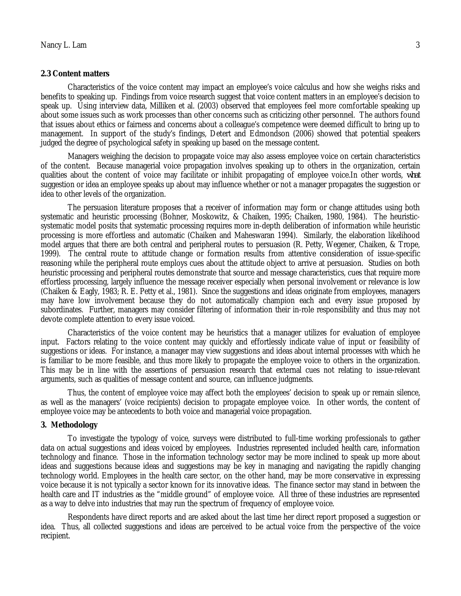#### **2.3 Content matters**

Characteristics of the voice content may impact an employee's voice calculus and how she weighs risks and benefits to speaking up. Findings from voice research suggest that voice content matters in an employee's decision to speak up. Using interview data, Milliken et al. (2003) observed that employees feel more comfortable speaking up about some issues such as work processes than other concerns such as criticizing other personnel. The authors found that issues about ethics or fairness and concerns about a colleague's competence were deemed difficult to bring up to management. In support of the study's findings, Detert and Edmondson (2006) showed that potential speakers judged the degree of psychological safety in speaking up based on the message content.

Managers weighing the decision to propagate voice may also assess employee voice on certain characteristics of the content. Because managerial voice propagation involves speaking up to others in the organization, certain qualities about the content of voice may facilitate or inhibit propagating of employee voice.In other words, *what* suggestion or idea an employee speaks up about may influence whether or not a manager propagates the suggestion or idea to other levels of the organization.

The persuasion literature proposes that a receiver of information may form or change attitudes using both systematic and heuristic processing (Bohner, Moskowitz, & Chaiken, 1995; Chaiken, 1980, 1984). The heuristicsystematic model posits that systematic processing requires more in-depth deliberation of information while heuristic processing is more effortless and automatic (Chaiken and Maheswaran 1994). Similarly, the elaboration likelihood model argues that there are both central and peripheral routes to persuasion (R. Petty, Wegener, Chaiken, & Trope, 1999). The central route to attitude change or formation results from attentive consideration of issue-specific reasoning while the peripheral route employs cues about the attitude object to arrive at persuasion. Studies on both heuristic processing and peripheral routes demonstrate that source and message characteristics, cues that require more effortless processing, largely influence the message receiver especially when personal involvement or relevance is low (Chaiken & Eagly, 1983; R. E. Petty et al., 1981). Since the suggestions and ideas originate from employees, managers may have low involvement because they do not automatically champion each and every issue proposed by subordinates. Further, managers may consider filtering of information their in-role responsibility and thus may not devote complete attention to every issue voiced.

Characteristics of the voice content may be heuristics that a manager utilizes for evaluation of employee input. Factors relating to the voice content may quickly and effortlessly indicate value of input or feasibility of suggestions or ideas. For instance, a manager may view suggestions and ideas about internal processes with which he is familiar to be more feasible, and thus more likely to propagate the employee voice to others in the organization. This may be in line with the assertions of persuasion research that external cues not relating to issue-relevant arguments, such as qualities of message content and source, can influence judgments.

Thus, the content of employee voice may affect both the employees' decision to speak up or remain silence, as well as the managers' (voice recipients) decision to propagate employee voice. In other words, the content of employee voice may be antecedents to both voice and managerial voice propagation.

#### **3. Methodology**

To investigate the typology of voice, surveys were distributed to full-time working professionals to gather data on actual suggestions and ideas voiced by employees. Industries represented included health care, information technology and finance. Those in the information technology sector may be more inclined to speak up more about ideas and suggestions because ideas and suggestions may be key in managing and navigating the rapidly changing technology world. Employees in the health care sector, on the other hand, may be more conservative in expressing voice because it is not typically a sector known for its innovative ideas. The finance sector may stand in between the health care and IT industries as the "middle ground" of employee voice. All three of these industries are represented as a way to delve into industries that may run the spectrum of frequency of employee voice.

Respondents have direct reports and are asked about the last time her direct report proposed a suggestion or idea. Thus, all collected suggestions and ideas are perceived to be actual voice from the perspective of the voice recipient.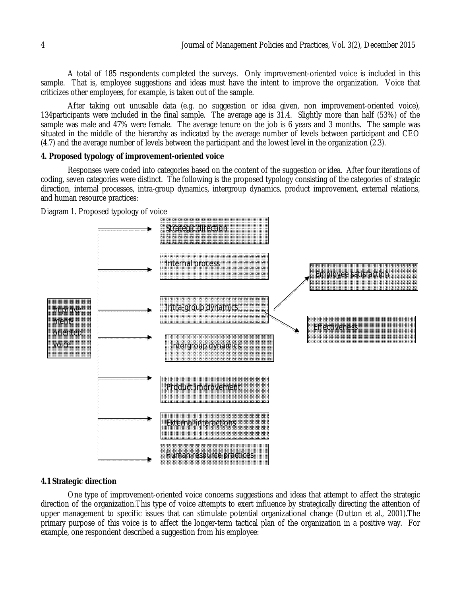A total of 185 respondents completed the surveys. Only improvement-oriented voice is included in this sample. That is, employee suggestions and ideas must have the intent to improve the organization. Voice that criticizes other employees, for example, is taken out of the sample.

After taking out unusable data (e.g. no suggestion or idea given, non improvement-oriented voice), 134participants were included in the final sample. The average age is 31.4. Slightly more than half (53%) of the sample was male and 47% were female. The average tenure on the job is 6 years and 3 months. The sample was situated in the middle of the hierarchy as indicated by the average number of levels between participant and CEO (4.7) and the average number of levels between the participant and the lowest level in the organization (2.3).

#### **4. Proposed typology of improvement-oriented voice**

Responses were coded into categories based on the content of the suggestion or idea. After four iterations of coding, seven categories were distinct. The following is the proposed typology consisting of the categories of strategic direction, internal processes, intra-group dynamics, intergroup dynamics, product improvement, external relations, and human resource practices:



Diagram 1. Proposed typology of voice

## **4.1 Strategic direction**

One type of improvement-oriented voice concerns suggestions and ideas that attempt to affect the strategic direction of the organization.This type of voice attempts to exert influence by strategically directing the attention of upper management to specific issues that can stimulate potential organizational change (Dutton et al., 2001).The primary purpose of this voice is to affect the longer-term tactical plan of the organization in a positive way. For example, one respondent described a suggestion from his employee: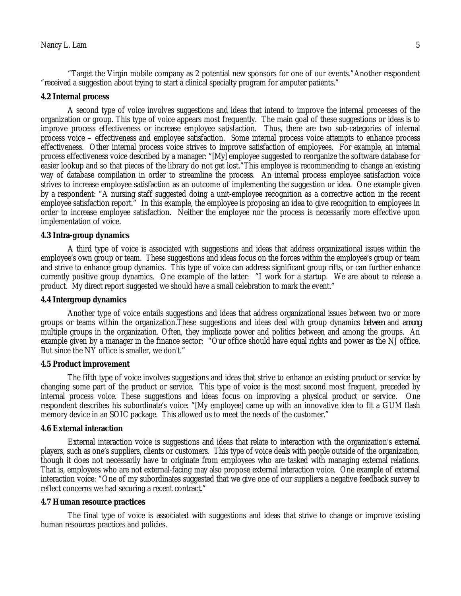"Target the Virgin mobile company as 2 potential new sponsors for one of our events."Another respondent "received a suggestion about trying to start a clinical specialty program for amputer patients."

#### **4.2 Internal process**

A second type of voice involves suggestions and ideas that intend to improve the internal processes of the organization or group. This type of voice appears most frequently. The main goal of these suggestions or ideas is to improve process effectiveness or increase employee satisfaction. Thus, there are two sub-categories of internal process voice – effectiveness and employee satisfaction. Some internal process voice attempts to enhance process effectiveness. Other internal process voice strives to improve satisfaction of employees. For example, an internal process effectiveness voice described by a manager: "[My] employee suggested to reorganize the software database for easier lookup and so that pieces of the library do not get lost."This employee is recommending to change an existing way of database compilation in order to streamline the process. An internal process employee satisfaction voice strives to increase employee satisfaction as an outcome of implementing the suggestion or idea. One example given by a respondent: "A nursing staff suggested doing a unit-employee recognition as a corrective action in the recent employee satisfaction report." In this example, the employee is proposing an idea to give recognition to employees in order to increase employee satisfaction. Neither the employee nor the process is necessarily more effective upon implementation of voice.

## **4.3 Intra-group dynamics**

A third type of voice is associated with suggestions and ideas that address organizational issues within the employee's own group or team. These suggestions and ideas focus on the forces within the employee's group or team and strive to enhance group dynamics. This type of voice can address significant group rifts, or can further enhance currently positive group dynamics. One example of the latter: "I work for a startup. We are about to release a product. My direct report suggested we should have a small celebration to mark the event."

#### **4.4 Intergroup dynamics**

Another type of voice entails suggestions and ideas that address organizational issues between two or more groups or teams within the organization.These suggestions and ideas deal with group dynamics *between* and *among*  multiple groups in the organization. Often, they implicate power and politics between and among the groups. An example given by a manager in the finance sector: "Our office should have equal rights and power as the NJ office. But since the NY office is smaller, we don't."

### **4.5 Product improvement**

The fifth type of voice involves suggestions and ideas that strive to enhance an existing product or service by changing some part of the product or service. This type of voice is the most second most frequent, preceded by internal process voice. These suggestions and ideas focus on improving a physical product or service. One respondent describes his subordinate's voice: "[My employee] came up with an innovative idea to fit a GUM flash memory device in an SOIC package. This allowed us to meet the needs of the customer."

#### **4.6 External interaction**

External interaction voice is suggestions and ideas that relate to interaction with the organization's external players, such as one's suppliers, clients or customers. This type of voice deals with people outside of the organization, though it does not necessarily have to originate from employees who are tasked with managing external relations. That is, employees who are not external-facing may also propose external interaction voice. One example of external interaction voice: "One of my subordinates suggested that we give one of our suppliers a negative feedback survey to reflect concerns we had securing a recent contract."

#### **4.7 Human resource practices**

The final type of voice is associated with suggestions and ideas that strive to change or improve existing human resources practices and policies.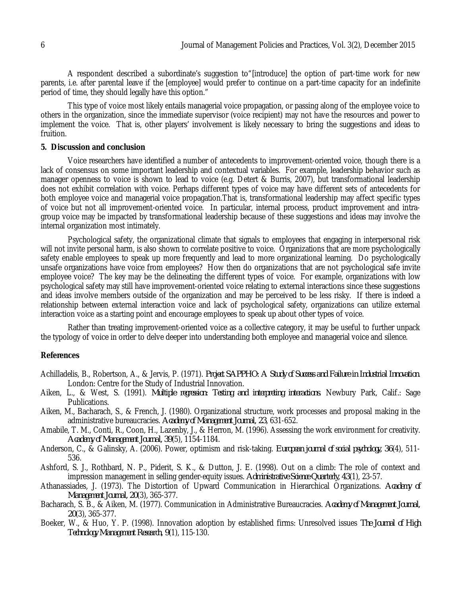A respondent described a subordinate's suggestion to"[introduce] the option of part-time work for new parents, i.e. after parental leave if the [employee] would prefer to continue on a part-time capacity for an indefinite period of time, they should legally have this option."

This type of voice most likely entails managerial voice propagation, or passing along of the employee voice to others in the organization, since the immediate supervisor (voice recipient) may not have the resources and power to implement the voice. That is, other players' involvement is likely necessary to bring the suggestions and ideas to fruition.

### **5. Discussion and conclusion**

Voice researchers have identified a number of antecedents to improvement-oriented voice, though there is a lack of consensus on some important leadership and contextual variables. For example, leadership behavior such as manager openness to voice is shown to lead to voice (e.g. Detert & Burris, 2007), but transformational leadership does not exhibit correlation with voice. Perhaps different types of voice may have different sets of antecedents for both employee voice and managerial voice propagation.That is, transformational leadership may affect specific types of voice but not all improvement-oriented voice. In particular, internal process, product improvement and intragroup voice may be impacted by transformational leadership because of these suggestions and ideas may involve the internal organization most intimately.

Psychological safety, the organizational climate that signals to employees that engaging in interpersonal risk will not invite personal harm, is also shown to correlate positive to voice. Organizations that are more psychologically safety enable employees to speak up more frequently and lead to more organizational learning. Do psychologically unsafe organizations have voice from employees? How then do organizations that are not psychological safe invite employee voice? The key may be the delineating the different types of voice. For example, organizations with low psychological safety may still have improvement-oriented voice relating to external interactions since these suggestions and ideas involve members outside of the organization and may be perceived to be less risky. If there is indeed a relationship between external interaction voice and lack of psychological safety, organizations can utilize external interaction voice as a starting point and encourage employees to speak up about other types of voice.

Rather than treating improvement-oriented voice as a collective category, it may be useful to further unpack the typology of voice in order to delve deeper into understanding both employee and managerial voice and silence.

## **References**

- Achilladelis, B., Robertson, A., & Jervis, P. (1971). *Project SAPPHO: A Study of Success and Failure in Industrial Innovation*. London: Centre for the Study of Industrial Innovation.
- Aiken, L., & West, S. (1991). *Multiple regression: Testing and interpreting interactions*. Newbury Park, Calif.: Sage Publications.
- Aiken, M., Bacharach, S., & French, J. (1980). Organizational structure, work processes and proposal making in the administrative bureaucracies. *Academy of Management Journal, 23*, 631-652.
- Amabile, T. M., Conti, R., Coon, H., Lazenby, J., & Herron, M. (1996). Assessing the work environment for creativity. *Academy of Management Journal, 39*(5), 1154-1184.
- Anderson, C., & Galinsky, A. (2006). Power, optimism and risk-taking. *European journal of social psychology, 36*(4), 511- 536.
- Ashford, S. J., Rothbard, N. P., Piderit, S. K., & Dutton, J. E. (1998). Out on a climb: The role of context and impression management in selling gender-equity issues. *Administrative Science Quarterly, 43*(1), 23-57.
- Athanassiades, J. (1973). The Distortion of Upward Communication in Hierarchical Organizations. *Academy of Management Journal, 20*(3), 365-377.
- Bacharach, S. B., & Aiken, M. (1977). Communication in Administrative Bureaucracies. *Academy of Management Journal, 20*(3), 365-377.
- Boeker, W., & Huo, Y. P. (1998). Innovation adoption by established firms: Unresolved issues *The Journal of High Technology Management Research, 9*(1), 115-130.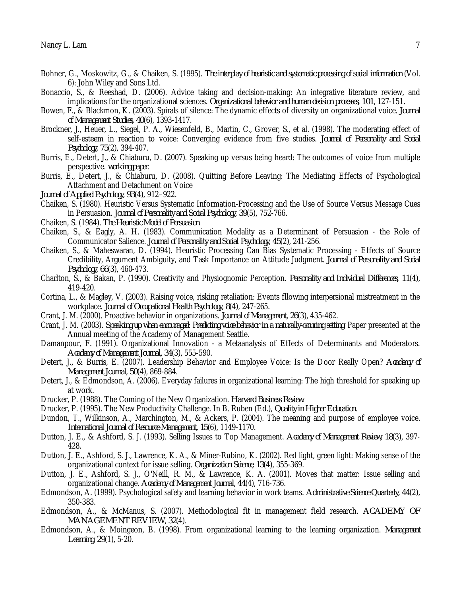- Bohner, G., Moskowitz, G., & Chaiken, S. (1995). *The interplay of heuristic and systematic processing of social information* (Vol. 6): John Wiley and Sons Ltd.
- Bonaccio, S., & Reeshad, D. (2006). Advice taking and decision-making: An integrative literature review, and implications for the organizational sciences. *Organizational behavior and human decision processes, 101*, 127-151.
- Bowen, F., & Blackmon, K. (2003). Spirals of silence: The dynamic effects of diversity on organizational voice. *Journal of Management Studies, 40*(6), 1393-1417.
- Brockner, J., Heuer, L., Siegel, P. A., Wiesenfeld, B., Martin, C., Grover, S., et al. (1998). The moderating effect of self-esteem in reaction to voice: Converging evidence from five studies. *Journal of Personality and Social Psychology, 75*(2), 394-407.
- Burris, E., Detert, J., & Chiaburu, D. (2007). Speaking up versus being heard: The outcomes of voice from multiple perspective. *working paper*.
- Burris, E., Detert, J., & Chiaburu, D. (2008). Quitting Before Leaving: The Mediating Effects of Psychological Attachment and Detachment on Voice
- *Journal of Applied Psychology, 93*(4), 912–922.
- Chaiken, S. (1980). Heuristic Versus Systematic Information-Processing and the Use of Source Versus Message Cues in Persuasion. *Journal of Personality and Social Psychology, 39*(5), 752-766.
- Chaiken, S. (1984). *The Heuristic Model of Persuasion*.
- Chaiken, S., & Eagly, A. H. (1983). Communication Modality as a Determinant of Persuasion the Role of Communicator Salience. *Journal of Personality and Social Psychology, 45*(2), 241-256.
- Chaiken, S., & Maheswaran, D. (1994). Heuristic Processing Can Bias Systematic Processing Effects of Source Credibility, Argument Ambiguity, and Task Importance on Attitude Judgment. *Journal of Personality and Social Psychology, 66*(3), 460-473.
- Charlton, S., & Bakan, P. (1990). Creativity and Physiognomic Perception. *Personality and Individual Differences, 11*(4), 419-420.
- Cortina, L., & Magley, V. (2003). Raising voice, risking retaliation: Events fllowing interpersional mistreatment in the workplace. *Journal of Occupational Health Psychology, 8*(4), 247-265.
- Crant, J. M. (2000). Proactive behavior in organizations. *Journal of Management, 26*(3), 435-462.
- Crant, J. M. (2003). *Speaking up when encouraged: Predicting voice behavior in a naturally-occuring setting.* Paper presented at the Annual meeting of the Academy of Management Seattle.
- Damanpour, F. (1991). Organizational Innovation a Metaanalysis of Effects of Determinants and Moderators. *Academy of Management Journal, 34*(3), 555-590.
- Detert, J., & Burris, E. (2007). Leadership Behavior and Employee Voice: Is the Door Really Open? *Academy of Management Journal, 50*(4), 869-884.
- Detert, J., & Edmondson, A. (2006). Everyday failures in organizational learning: The high threshold for speaking up at work.
- Drucker, P. (1988). The Coming of the New Organization. *Harvard Business Review*.
- Drucker, P. (1995). The New Productivity Challenge. In B. Ruben (Ed.), *Quality in Higher Education*.
- Dundon, T., Wilkinson, A., Marchington, M., & Ackers, P. (2004). The meaning and purpose of employee voice. *International Journal of Resource Management, 15*(6), 1149-1170.
- Dutton, J. E., & Ashford, S. J. (1993). Selling Issues to Top Management. *Academy of Management Review, 18*(3), 397- 428.
- Dutton, J. E., Ashford, S. J., Lawrence, K. A., & Miner-Rubino, K. (2002). Red light, green light: Making sense of the organizational context for issue selling. *Organization Science, 13*(4), 355-369.
- Dutton, J. E., Ashford, S. J., O'Neill, R. M., & Lawrence, K. A. (2001). Moves that matter: Issue selling and organizational change. *Academy of Management Journal, 44*(4), 716-736.
- Edmondson, A. (1999). Psychological safety and learning behavior in work teams. *Administrative Science Quarterly, 44*(2), 350-383.
- Edmondson, A., & McManus, S. (2007). Methodological fit in management field research. *ACADEMY OF MANAGEMENT REVIEW, 32*(4).
- Edmondson, A., & Moingeon, B. (1998). From organizational learning to the learning organization. *Management Learning, 29*(1), 5-20.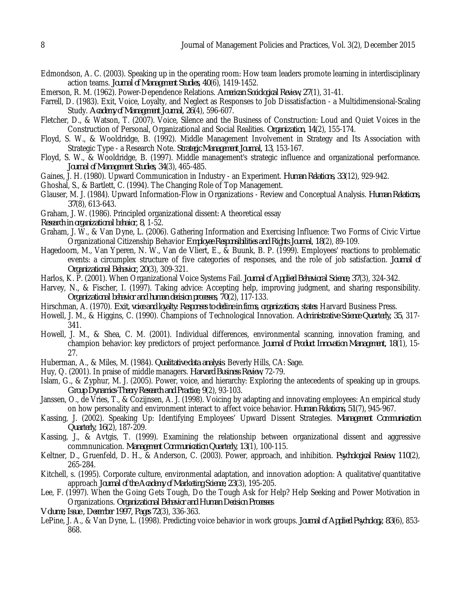- Edmondson, A. C. (2003). Speaking up in the operating room: How team leaders promote learning in interdisciplinary action teams. *Journal of Management Studies, 40*(6), 1419-1452.
- Emerson, R. M. (1962). Power-Dependence Relations. *American Sociological Review, 27*(1), 31-41.
- Farrell, D. (1983). Exit, Voice, Loyalty, and Neglect as Responses to Job Dissatisfaction a Multidimensional-Scaling Study. *Academy of Management Journal, 26*(4), 596-607.
- Fletcher, D., & Watson, T. (2007). Voice, Silence and the Business of Construction: Loud and Quiet Voices in the Construction of Personal, Organizational and Social Realities. *Organization, 14*(2), 155-174.
- Floyd, S. W., & Wooldridge, B. (1992). Middle Management Involvement in Strategy and Its Association with Strategic Type - a Research Note. *Strategic Management Journal, 13*, 153-167.
- Floyd, S. W., & Wooldridge, B. (1997). Middle management's strategic influence and organizational performance. *Journal of Management Studies, 34*(3), 465-485.
- Gaines, J. H. (1980). Upward Communication in Industry an Experiment. *Human Relations, 33*(12), 929-942.
- Ghoshal, S., & Bartlett, C. (1994). The Changing Role of Top Management.
- Glauser, M. J. (1984). Upward Information-Flow in Organizations Review and Conceptual Analysis. *Human Relations, 37*(8), 613-643.
- Graham, J. W. (1986). Principled organizational dissent: A theoretical essay
- *Research in organizational behaior, 8*, 1-52.
- Graham, J. W., & Van Dyne, L. (2006). Gathering Information and Exercising Influence: Two Forms of Civic Virtue Organizational Citizenship Behavior *Employee Responsibilities and Rights Journal, 18*(2), 89-109.
- Hagedoorn, M., Van Yperen, N. W., Van de Vliert, E., & Buunk, B. P. (1999). Employees' reactions to problematic events: a circumplex structure of five categories of responses, and the role of job satisfaction. *Journal of Organizational Behavior, 20*(3), 309-321.
- Harlos, K. P. (2001). When Organizational Voice Systems Fail. *Journal of Applied Behavioral Science, 37*(3), 324-342.
- Harvey, N., & Fischer, I. (1997). Taking advice: Accepting help, improving judgment, and sharing responsibility. *Organizational behavior and human decision processes, 70*(2), 117-133.
- Hirschman, A. (1970). *Exit, voice and loyalty: Responses to decline in firms, organizations, states*: Harvard Business Press.
- Howell, J. M., & Higgins, C. (1990). Champions of Technological Innovation. *Administrative Science Quarterly, 35*, 317- 341.
- Howell, J. M., & Shea, C. M. (2001). Individual differences, environmental scanning, innovation framing, and champion behavior: key predictors of project performance. *Journal of Product Innovation Management, 18*(1), 15- 27.
- Huberman, A., & Miles, M. (1984). *Qualitative data analysis*. Beverly Hills, CA: Sage.
- Huy, Q. (2001). In praise of middle managers. *Harvard Business Review*, 72-79.
- Islam, G., & Zyphur, M. J. (2005). Power, voice, and hierarchy: Exploring the antecedents of speaking up in groups. *Group Dynamics-Theory Research and Practice, 9*(2), 93-103.
- Janssen, O., de Vries, T., & Cozijnsen, A. J. (1998). Voicing by adapting and innovating employees: An empirical study on how personality and environment interact to affect voice behavior. *Human Relations, 51*(7), 945-967.
- Kassing, J. (2002). Speaking Up: Identifying Employees' Upward Dissent Strategies. *Management Communication Quarterly, 16*(2), 187-209.
- Kassing, J., & Avtgis, T. (1999). Examining the relationship between organizational dissent and aggressive commnunication. *Management Communication Quarterly, 13*(1), 100-115.
- Keltner, D., Gruenfeld, D. H., & Anderson, C. (2003). Power, approach, and inhibition. *Psychological Review, 110*(2), 265-284.
- Kitchell, s. (1995). Corporate culture, environmental adaptation, and innovation adoption: A qualitative/quantitative approach *Journal of the Academy of Marketing Science, 23*(3), 195-205.
- Lee, F. (1997). When the Going Gets Tough, Do the Tough Ask for Help? Help Seeking and Power Motivation in Organizations. *Organizational Behavior and Human Decision Processes*
- *Volume, Issue , December 1997, Pages 72*(3), 336-363.
- LePine, J. A., & Van Dyne, L. (1998). Predicting voice behavior in work groups. *Journal of Applied Psychology, 83*(6), 853- 868.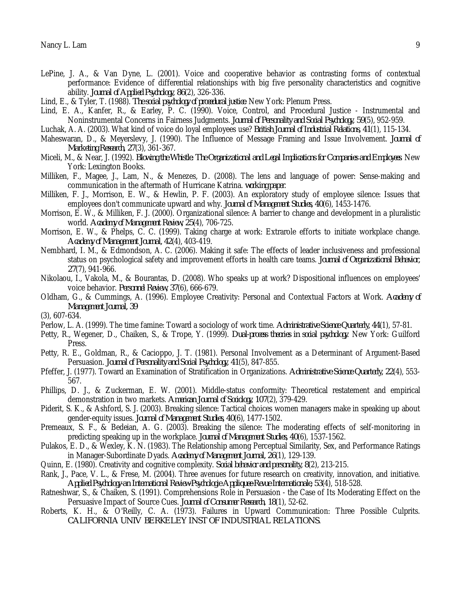- LePine, J. A., & Van Dyne, L. (2001). Voice and cooperative behavior as contrasting forms of contextual performance: Evidence of differential relationships with big five personality characteristics and cognitive ability. *Journal of Applied Psychology, 86*(2), 326-336.
- Lind, E., & Tyler, T. (1988). *The social psychology of procedural justice*. New York: Plenum Press.
- Lind, E. A., Kanfer, R., & Earley, P. C. (1990). Voice, Control, and Procedural Justice Instrumental and Noninstrumental Concerns in Fairness Judgments. *Journal of Personality and Social Psychology, 59*(5), 952-959.
- Luchak, A. A. (2003). What kind of voice do loyal employees use? *British Journal of Industrial Relations, 41*(1), 115-134.
- Maheswaran, D., & Meyerslevy, J. (1990). The Influence of Message Framing and Issue Involvement. *Journal of Marketing Research, 27*(3), 361-367.
- Miceli, M., & Near, J. (1992). *Blowing the Whistle: The Organizational and Legal Implications for Companies and Employees*. New York: Lexington Books.
- Milliken, F., Magee, J., Lam, N., & Menezes, D. (2008). The lens and language of power: Sense-making and communication in the aftermath of Hurricane Katrina. *working paper*.
- Milliken, F. J., Morrison, E. W., & Hewlin, P. F. (2003). An exploratory study of employee silence: Issues that employees don't communicate upward and why. *Journal of Management Studies, 40*(6), 1453-1476.
- Morrison, E. W., & Milliken, F. J. (2000). Organizational silence: A barrier to change and development in a pluralistic world. *Academy of Management Review, 25*(4), 706-725.
- Morrison, E. W., & Phelps, C. C. (1999). Taking charge at work: Extrarole efforts to initiate workplace change. *Academy of Management Journal, 42*(4), 403-419.
- Nembhard, I. M., & Edmondson, A. C. (2006). Making it safe: The effects of leader inclusiveness and professional status on psychological safety and improvement efforts in health care teams. *Journal of Organizational Behavior, 27*(7), 941-966.
- Nikolaou, I., Vakola, M., & Bourantas, D. (2008). Who speaks up at work? Dispositional influences on employees' voice behavior. *Personnel Review, 37*(6), 666-679.
- Oldham, G., & Cummings, A. (1996). Employee Creativity: Personal and Contextual Factors at Work. *Academy of Management Journal, 39*

(3), 607-634.

- Perlow, L. A. (1999). The time famine: Toward a sociology of work time. *Administrative Science Quarterly, 44*(1), 57-81.
- Petty, R., Wegener, D., Chaiken, S., & Trope, Y. (1999). *Dual-process theories in social psychology*. New York: Guilford Press.
- Petty, R. E., Goldman, R., & Cacioppo, J. T. (1981). Personal Involvement as a Determinant of Argument-Based Persuasion. *Journal of Personality and Social Psychology, 41*(5), 847-855.
- Pfeffer, J. (1977). Toward an Examination of Stratification in Organizations. *Administrative Science Quarterly, 22*(4), 553- 567.
- Phillips, D. J., & Zuckerman, E. W. (2001). Middle-status conformity: Theoretical restatement and empirical demonstration in two markets. *American Journal of Sociology, 107*(2), 379-429.
- Piderit, S. K., & Ashford, S. J. (2003). Breaking silence: Tactical choices women managers make in speaking up about gender-equity issues. *Journal of Management Studies, 40*(6), 1477-1502.
- Premeaux, S. F., & Bedeian, A. G. (2003). Breaking the silence: The moderating effects of self-monitoring in predicting speaking up in the workplace. *Journal of Management Studies, 40*(6), 1537-1562.
- Pulakos, E. D., & Wexley, K. N. (1983). The Relationship among Perceptual Similarity, Sex, and Performance Ratings in Manager-Subordinate Dyads. *Academy of Management Journal, 26*(1), 129-139.
- Quinn, E. (1980). Creativity and cognitive complexity. *Social behavior and personality, 8*(2), 213-215.
- Rank, J., Pace, V. L., & Frese, M. (2004). Three avenues for future research on creativity, innovation, and initiative. *Applied Psychology-an International Review-Psychologie Appliquee-Revue Internationale, 53*(4), 518-528.
- Ratneshwar, S., & Chaiken, S. (1991). Comprehensions Role in Persuasion the Case of Its Moderating Effect on the Persuasive Impact of Source Cues. *Journal of Consumer Research, 18*(1), 52-62.
- Roberts, K. H., & O'Reilly, C. A. (1973). Failures in Upward Communication: Three Possible Culprits. *CALIFORNIA UNIV BERKELEY INST OF INDUSTRIAL RELATIONS*.